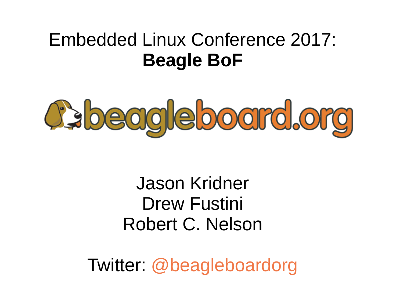# Embedded Linux Conference 2017: **Beagle BoF**



Jason Kridner Drew Fustini Robert C. Nelson

Twitter: [@beagleboardorg](https://twitter.com/beagleboardorg)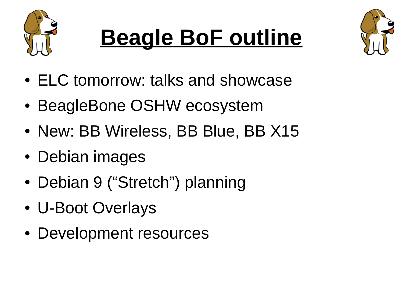



- ELC tomorrow: talks and showcase
- BeagleBone OSHW ecosystem
- New: BB Wireless, BB Blue, BB X15
- Debian images
- Debian 9 ("Stretch") planning
- U-Boot Overlays
- Development resources

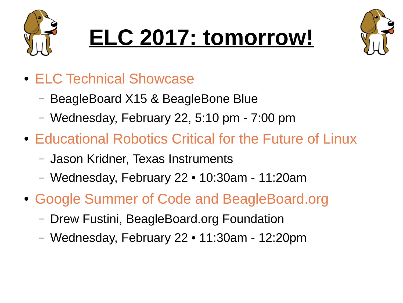





- [ELC Technical Showcase](http://elinux.org/ELC_2017_Technical_Showcase)
	- BeagleBoard X15 & BeagleBone Blue
	- Wednesday, February 22, 5:10 pm 7:00 pm
- [Educational Robotics Critical for the Future of Linux](https://openiotelcna2017.sched.com/event/9Itr/educational-robotics-critical-for-the-future-of-linux-jason-kridner-texas-instruments)
	- Jason Kridner, Texas Instruments
	- Wednesday, February 22 10:30am 11:20am
- [Google Summer of Code and BeagleBoard.org](https://openiotelcna2017.sched.com/event/9Itv/google-summer-of-code-and-beagleboardorg-drew-fustini-beagleboardorg-foundation)
	- Drew Fustini, BeagleBoard.org Foundation
	- Wednesday, February 22 11:30am 12:20pm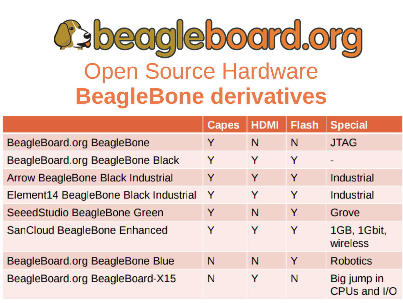

|                                       | Capes | <b>HDMI</b> | <b>Flash</b> | <b>Special</b>              |
|---------------------------------------|-------|-------------|--------------|-----------------------------|
| BeagleBoard.org BeagleBone            | Υ     | N           | N            | <b>JTAG</b>                 |
| BeagleBoard.org BeagleBone Black      | Y     | Y           | Y            | ۰                           |
| Arrow BeagleBone Black Industrial     | Y     | Y           | Y            | Industrial                  |
| Element14 BeagleBone Black Industrial | Y     | Y           | Y            | <b>Industrial</b>           |
| SeeedStudio BeagleBone Green          | Y     | N           | Y            | Grove                       |
| SanCloud BeagleBone Enhanced          | Y     | Y           | Y            | 1GB, 1Gbit,<br>wireless     |
| BeagleBoard.org BeagleBone Blue       | N     | N           | Y            | <b>Robotics</b>             |
| BeagleBoard.org BeagleBoard-X15       | N     | Y           | N            | Big jump in<br>CPUs and I/O |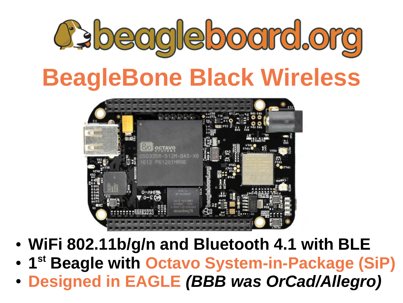



- **WiFi 802.11b/g/n and Bluetooth 4.1 with BLE**
- **1 st Beagle with [Octavo System-in-Package \(SiP\)](http://octavosystems.com/octavo_products/osd335x/)**
- **[Designed in EAGLE](https://github.com/beagleboard/beaglebone-black-wireless)** *(BBB was OrCad/Allegro)*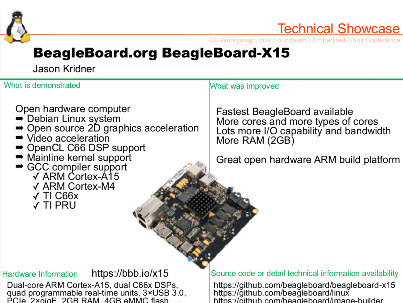

**Technical Showcase** 

CE Workgroup Linux Foundation / Embedded Linux Conference

## **BeagleBoard.org BeagleBoard-X15**

Jason Kridner

### What is demonstrated

What was improved

Open hardware computer

- **→ Debian Linux system**
- $\rightarrow$  Open source 2D graphics acceleration
- $\rightarrow$  Video acceleration
- **→ OpenCL C66 DSP support**
- → Mainline kernel support
- GCC compiler support
	- √ ARM Cortex-A15
	- √ ARM Cortex-M4
	- $\sqrt{}$  TI C66x
	- √ TI PRU

Fastest BeagleBoard available More cores and more types of cores Lots more I/O capability and bandwidth More RAM (2GB)

Great open hardware ARM build platform

#### https://bbb.io/x15 **Hardware Information**

Dual-core ARM Cortex-A15, dual C66x DSPs, quad programmable real-time units, 3×USB 3.0, PCIe 2xgigE 2GB RAM 4GB eMMC flash

#### Source code or detail technical information availability

https://github.com/beagleboard/beagleboard-x15 https://github.com/beagleboard/linux https://aithub.com/beagleboard/image-builder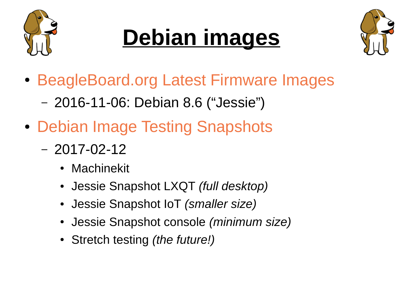





- [BeagleBoard.org Latest Firmware Images](https://beagleboard.org/latest-images)
	- 2016-11-06: Debian 8.6 ("Jessie")
- [Debian Image Testing Snapshots](http://elinux.org/Beagleboard:BeagleBoneBlack_Debian#Debian_Image_Testing_Snapshots)
	- 2017-02-12
		- Machinekit
		- Jessie Snapshot LXQT *(full desktop)*
		- Jessie Snapshot IoT *(smaller size)*
		- Jessie Snapshot console *(minimum size)*
		- Stretch testing *(the future!)*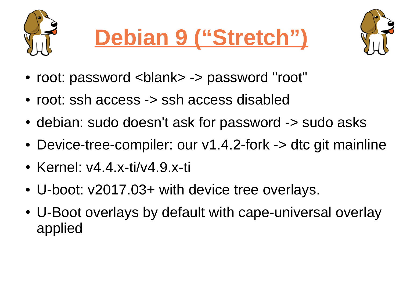





- root: password <br/>blank> -> password "root"
- root: ssh access -> ssh access disabled
- debian: sudo doesn't ask for password -> sudo asks
- Device-tree-compiler: our v1.4.2-fork -> dtc git mainline
- Kernel:  $v4.4.$ x-ti/ $v4.9.$ x-ti
- U-boot:  $v2017.03+$  with device tree overlays.
- U-Boot overlays by default with cape-universal overlay applied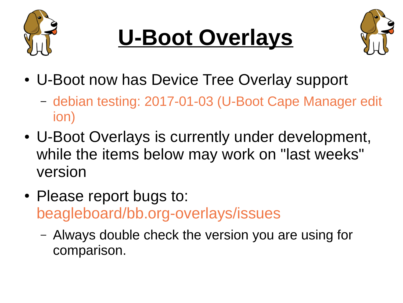





- U-Boot now has Device Tree Overlay support
	- [debian testing: 2017-01-03 \(U-Boot Cape Manager edit](file:///home/pdp7/dev/talks/debian%20testing:%202017-01-03%20(U-Boot%20Cape%20Manager%20edition)) [ion\)](file:///home/pdp7/dev/talks/debian%20testing:%202017-01-03%20(U-Boot%20Cape%20Manager%20edition))
- U-Boot Overlays is currently under development, while the items below may work on "last weeks" version
- Please report bugs to: [beagleboard/bb.org-overlays/issues](https://github.com/beagleboard/bb.org-overlays/issues)
	- Always double check the version you are using for comparison.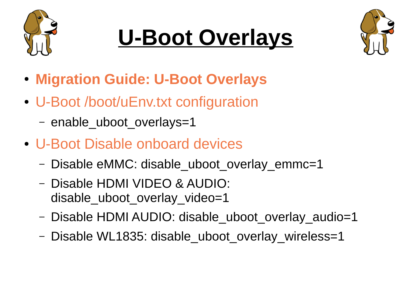





- **[Migration Guide: U-Boot Overlays](http://elinux.org/Beagleboard:BeagleBone_Debian_Image_Migration#U-Boot_Overlays)**
- [U-Boot /boot/uEnv.txt configuration](http://elinux.org/Beagleboard:BeagleBone_Debian_Image_Migration#U-Boot_.2Fboot.2FuEnv.txt_configuration)
	- enable uboot overlays=1
- [U-Boot Disable onboard devices](http://elinux.org/Beagleboard:BeagleBone_Debian_Image_Migration#U-Boot_Disable_onboard_devices)
	- Disable eMMC: disable uboot overlay emmc=1
	- Disable HDMI VIDEO & AUDIO: disable uboot overlay video=1
	- Disable HDMI AUDIO: disable\_uboot\_overlay\_audio=1
	- Disable WL1835: disable\_uboot\_overlay\_wireless=1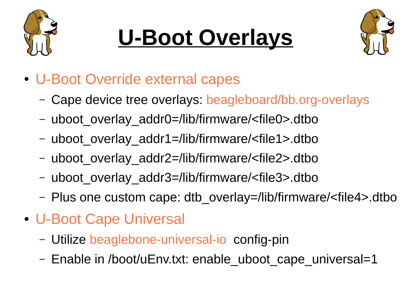





- [U-Boot Override external capes](http://elinux.org/Beagleboard:BeagleBone_Debian_Image_Migration#U-Boot_Override_external_capes)
	- Cape device tree overlays: [beagleboard/bb.org-overlays](https://github.com/beagleboard/bb.org-overlays/)
	- uboot\_overlay\_addr0=/lib/firmware/<file0>.dtbo
	- uboot\_overlay\_addr1=/lib/firmware/<file1>.dtbo
	- uboot\_overlay\_addr2=/lib/firmware/<file2>.dtbo
	- uboot\_overlay\_addr3=/lib/firmware/<file3>.dtbo
	- Plus one custom cape: dtb\_overlay=/lib/firmware/<file4>.dtbo
- [U-Boot Cape Universal](http://elinux.org/Beagleboard:BeagleBone_Debian_Image_Migration#U-Boot_Cape_Universal)
	- Utilize [beaglebone-universal-io](https://github.com/cdsteinkuehler/beaglebone-universal-io) config-pin
	- Enable in /boot/uEnv.txt: enable uboot cape universal=1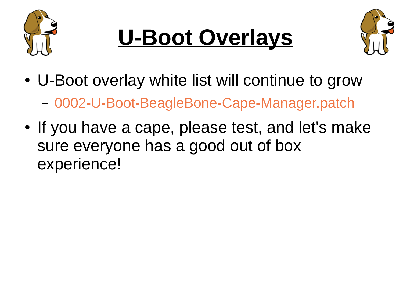





- U-Boot overlay white list will continue to grow
	- [0002-U-Boot-BeagleBone-Cape-Manager.patch](https://github.com/RobertCNelson/Bootloader-Builder/blob/81a42b8d027ce0dd85877ae839074b9be6a9cdb3/patches/v2017.03-rc1/0002-U-Boot-BeagleBone-Cape-Manager.patch#L236-L249)
- If you have a cape, please test, and let's make sure everyone has a good out of box experience!